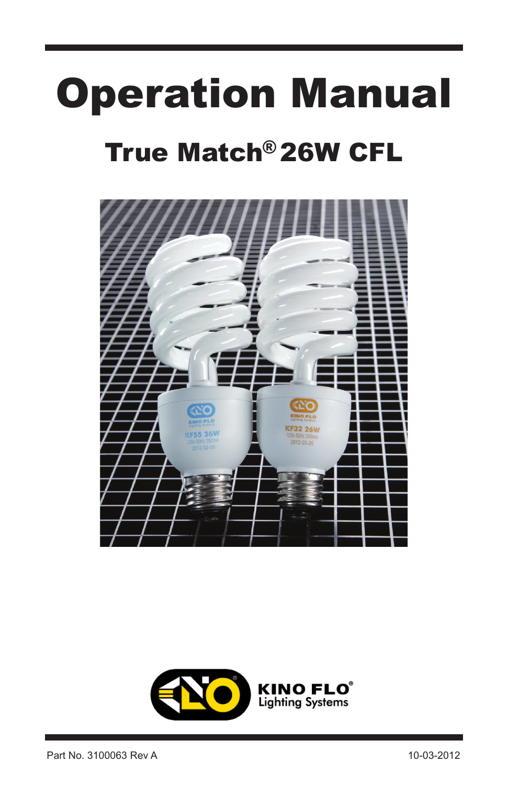# Operation Manual

## True Match®26W CFL



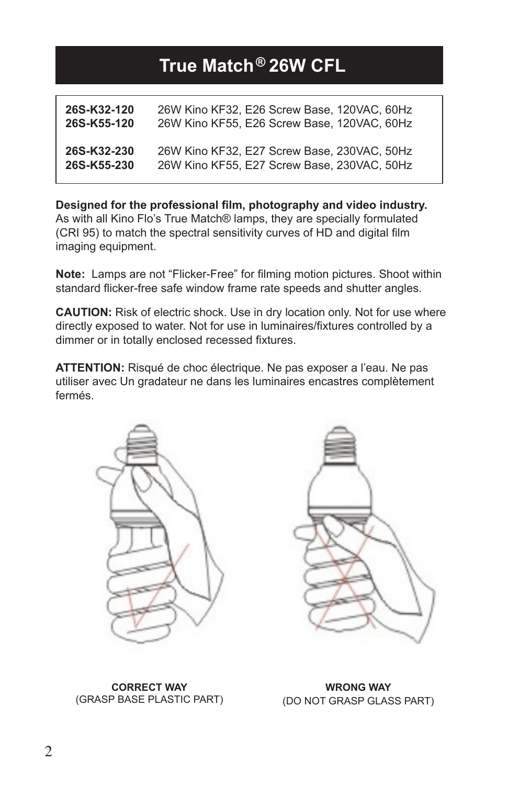### **True Match 26W CFL ®**

| 26S-K32-120 | 26W Kino KF32, E26 Screw Base, 120VAC, 60Hz |
|-------------|---------------------------------------------|
| 26S-K55-120 | 26W Kino KF55, E26 Screw Base, 120VAC, 60Hz |
| 26S-K32-230 | 26W Kino KF32, E27 Screw Base, 230VAC, 50Hz |
| 26S-K55-230 | 26W Kino KF55, E27 Screw Base, 230VAC, 50Hz |

**Designed for the professional film, photography and video industry.**  As with all Kino Flo's True Match® lamps, they are specially formulated (CRI 95) to match the spectral sensitivity curves of HD and digital film imaging equipment.

**Note:** Lamps are not "Flicker-Free" for filming motion pictures. Shoot within standard flicker-free safe window frame rate speeds and shutter angles.

**CAUTION:** Risk of electric shock. Use in dry location only. Not for use where directly exposed to water. Not for use in luminaires/fixtures controlled by a dimmer or in totally enclosed recessed fixtures.

**ATTENTION:** Risqué de choc électrique. Ne pas exposer a l'eau. Ne pas utiliser avec Un gradateur ne dans les luminaires encastres complètement fermés.





**CORRECT WAY** (GRASP BASE PLASTIC PART)

**WRONG WAY** (DO NOT GRASP GLASS PART)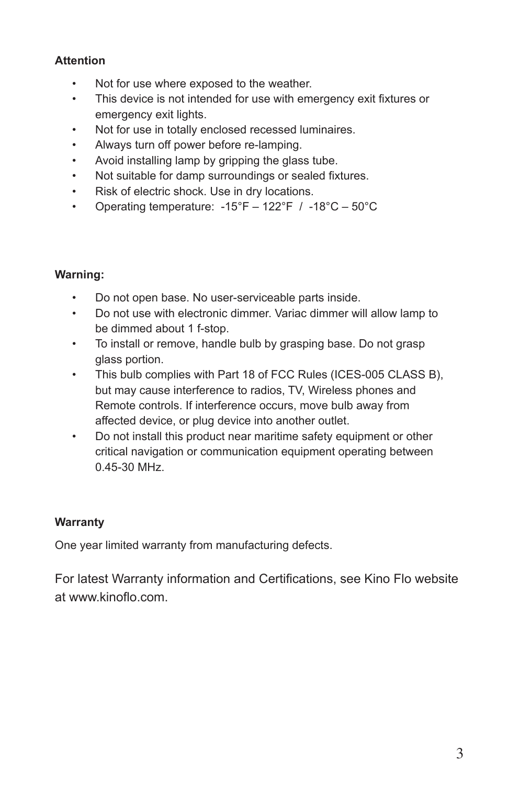#### **Attention**

- Not for use where exposed to the weather.
- This device is not intended for use with emergency exit fixtures or emergency exit lights.
- Not for use in totally enclosed recessed luminaires.
- Always turn off power before re-lamping.
- Avoid installing lamp by gripping the glass tube.
- Not suitable for damp surroundings or sealed fixtures.
- Risk of electric shock. Use in dry locations.
- Operating temperature:  $-15^{\circ}F 122^{\circ}F$  /  $-18^{\circ}C 50^{\circ}C$

#### **Warning:**

- Do not open base. No user-serviceable parts inside.
- Do not use with electronic dimmer. Variac dimmer will allow lamp to be dimmed about 1 f-stop.
- To install or remove, handle bulb by grasping base. Do not grasp glass portion.
- This bulb complies with Part 18 of FCC Rules (ICES-005 CLASS B), but may cause interference to radios, TV, Wireless phones and Remote controls. If interference occurs, move bulb away from affected device, or plug device into another outlet.
- Do not install this product near maritime safety equipment or other critical navigation or communication equipment operating between 0.45-30 MHz.

#### **Warranty**

One year limited warranty from manufacturing defects.

For latest Warranty information and Certifications, see Kino Flo website at www.kinoflo.com.